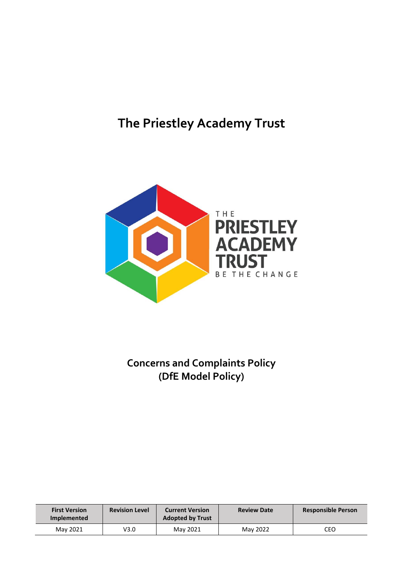# **The Priestley Academy Trust**



# **Concerns and Complaints Policy (DfE Model Policy)**

| <b>First Version</b><br><b>Implemented</b> | <b>Revision Level</b> | <b>Current Version</b><br><b>Adopted by Trust</b> | <b>Review Date</b> | <b>Responsible Person</b> |
|--------------------------------------------|-----------------------|---------------------------------------------------|--------------------|---------------------------|
| May 2021                                   | V3.0                  | May 2021                                          | May 2022           | CEO                       |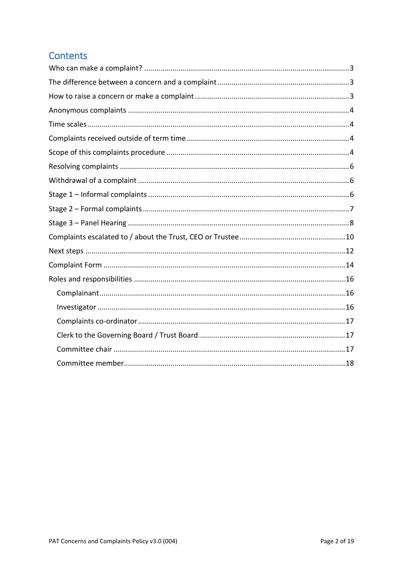### **Contents**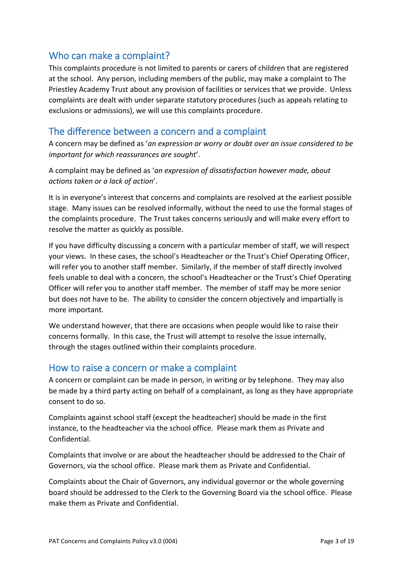#### <span id="page-2-0"></span>Who can make a complaint?

This complaints procedure is not limited to parents or carers of children that are registered at the school. Any person, including members of the public, may make a complaint to The Priestley Academy Trust about any provision of facilities or services that we provide. Unless complaints are dealt with under separate statutory procedures (such as appeals relating to exclusions or admissions), we will use this complaints procedure.

#### <span id="page-2-1"></span>The difference between a concern and a complaint

A concern may be defined as '*an expression or worry or doubt over an issue considered to be important for which reassurances are sought*'.

A complaint may be defined as '*an expression of dissatisfaction however made, about actions taken or a lack of action*'.

It is in everyone's interest that concerns and complaints are resolved at the earliest possible stage. Many issues can be resolved informally, without the need to use the formal stages of the complaints procedure. The Trust takes concerns seriously and will make every effort to resolve the matter as quickly as possible.

If you have difficulty discussing a concern with a particular member of staff, we will respect your views. In these cases, the school's Headteacher or the Trust's Chief Operating Officer, will refer you to another staff member. Similarly, if the member of staff directly involved feels unable to deal with a concern, the school's Headteacher or the Trust's Chief Operating Officer will refer you to another staff member. The member of staff may be more senior but does not have to be. The ability to consider the concern objectively and impartially is more important.

We understand however, that there are occasions when people would like to raise their concerns formally. In this case, the Trust will attempt to resolve the issue internally, through the stages outlined within their complaints procedure.

#### <span id="page-2-2"></span>How to raise a concern or make a complaint

A concern or complaint can be made in person, in writing or by telephone. They may also be made by a third party acting on behalf of a complainant, as long as they have appropriate consent to do so.

Complaints against school staff (except the headteacher) should be made in the first instance, to the headteacher via the school office. Please mark them as Private and Confidential.

Complaints that involve or are about the headteacher should be addressed to the Chair of Governors, via the school office. Please mark them as Private and Confidential.

Complaints about the Chair of Governors, any individual governor or the whole governing board should be addressed to the Clerk to the Governing Board via the school office. Please make them as Private and Confidential.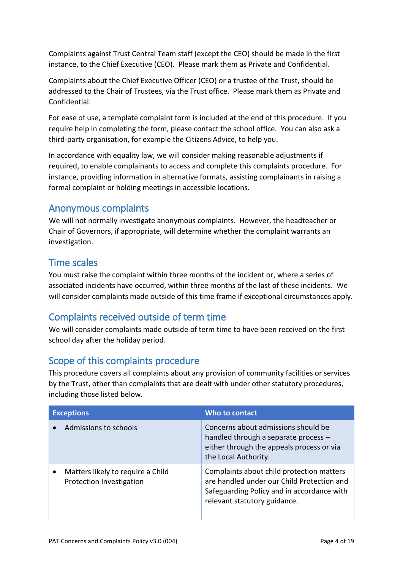Complaints against Trust Central Team staff (except the CEO) should be made in the first instance, to the Chief Executive (CEO). Please mark them as Private and Confidential.

Complaints about the Chief Executive Officer (CEO) or a trustee of the Trust, should be addressed to the Chair of Trustees, via the Trust office. Please mark them as Private and Confidential.

For ease of use, a template complaint form is included at the end of this procedure. If you require help in completing the form, please contact the school office. You can also ask a third-party organisation, for example the Citizens Advice, to help you.

In accordance with equality law, we will consider making reasonable adjustments if required, to enable complainants to access and complete this complaints procedure. For instance, providing information in alternative formats, assisting complainants in raising a formal complaint or holding meetings in accessible locations.

#### <span id="page-3-0"></span>Anonymous complaints

We will not normally investigate anonymous complaints. However, the headteacher or Chair of Governors, if appropriate, will determine whether the complaint warrants an investigation.

#### <span id="page-3-1"></span>Time scales

You must raise the complaint within three months of the incident or, where a series of associated incidents have occurred, within three months of the last of these incidents. We will consider complaints made outside of this time frame if exceptional circumstances apply.

### <span id="page-3-2"></span>Complaints received outside of term time

We will consider complaints made outside of term time to have been received on the first school day after the holiday period.

### <span id="page-3-3"></span>Scope of this complaints procedure

This procedure covers all complaints about any provision of community facilities or services by the Trust, other than complaints that are dealt with under other statutory procedures, including those listed below.

| <b>Exceptions</b>                                             | Who to contact                                                                                                                                                        |
|---------------------------------------------------------------|-----------------------------------------------------------------------------------------------------------------------------------------------------------------------|
| Admissions to schools                                         | Concerns about admissions should be<br>handled through a separate process -<br>either through the appeals process or via<br>the Local Authority.                      |
| Matters likely to require a Child<br>Protection Investigation | Complaints about child protection matters<br>are handled under our Child Protection and<br>Safeguarding Policy and in accordance with<br>relevant statutory guidance. |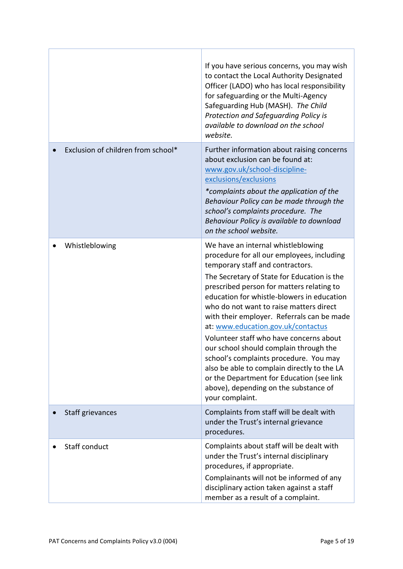|                                    | If you have serious concerns, you may wish<br>to contact the Local Authority Designated<br>Officer (LADO) who has local responsibility<br>for safeguarding or the Multi-Agency<br>Safeguarding Hub (MASH). The Child<br>Protection and Safeguarding Policy is<br>available to download on the school<br>website.                                                                                                                                                                                                                                                                                                                                                                     |
|------------------------------------|--------------------------------------------------------------------------------------------------------------------------------------------------------------------------------------------------------------------------------------------------------------------------------------------------------------------------------------------------------------------------------------------------------------------------------------------------------------------------------------------------------------------------------------------------------------------------------------------------------------------------------------------------------------------------------------|
| Exclusion of children from school* | Further information about raising concerns<br>about exclusion can be found at:<br>www.gov.uk/school-discipline-<br>exclusions/exclusions<br>*complaints about the application of the<br>Behaviour Policy can be made through the<br>school's complaints procedure. The<br>Behaviour Policy is available to download<br>on the school website.                                                                                                                                                                                                                                                                                                                                        |
| Whistleblowing                     | We have an internal whistleblowing<br>procedure for all our employees, including<br>temporary staff and contractors.<br>The Secretary of State for Education is the<br>prescribed person for matters relating to<br>education for whistle-blowers in education<br>who do not want to raise matters direct<br>with their employer. Referrals can be made<br>at: www.education.gov.uk/contactus<br>Volunteer staff who have concerns about<br>our school should complain through the<br>school's complaints procedure. You may<br>also be able to complain directly to the LA<br>or the Department for Education (see link<br>above), depending on the substance of<br>your complaint. |
| Staff grievances                   | Complaints from staff will be dealt with<br>under the Trust's internal grievance<br>procedures.                                                                                                                                                                                                                                                                                                                                                                                                                                                                                                                                                                                      |
| Staff conduct                      | Complaints about staff will be dealt with<br>under the Trust's internal disciplinary<br>procedures, if appropriate.<br>Complainants will not be informed of any<br>disciplinary action taken against a staff<br>member as a result of a complaint.                                                                                                                                                                                                                                                                                                                                                                                                                                   |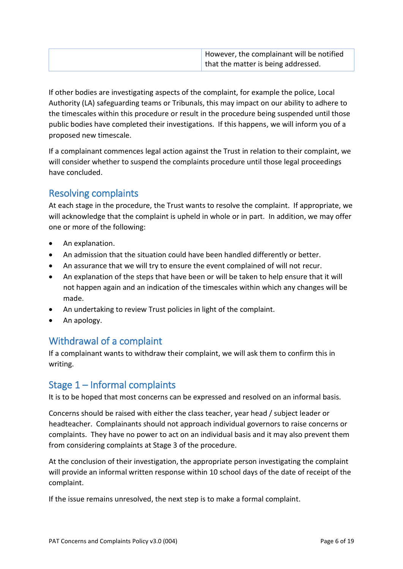| However, the complainant will be notified |
|-------------------------------------------|
| that the matter is being addressed.       |

If other bodies are investigating aspects of the complaint, for example the police, Local Authority (LA) safeguarding teams or Tribunals, this may impact on our ability to adhere to the timescales within this procedure or result in the procedure being suspended until those public bodies have completed their investigations. If this happens, we will inform you of a proposed new timescale.

If a complainant commences legal action against the Trust in relation to their complaint, we will consider whether to suspend the complaints procedure until those legal proceedings have concluded.

### <span id="page-5-0"></span>Resolving complaints

At each stage in the procedure, the Trust wants to resolve the complaint. If appropriate, we will acknowledge that the complaint is upheld in whole or in part. In addition, we may offer one or more of the following:

- An explanation.
- An admission that the situation could have been handled differently or better.
- An assurance that we will try to ensure the event complained of will not recur.
- An explanation of the steps that have been or will be taken to help ensure that it will not happen again and an indication of the timescales within which any changes will be made.
- An undertaking to review Trust policies in light of the complaint.
- An apology.

### <span id="page-5-1"></span>Withdrawal of a complaint

If a complainant wants to withdraw their complaint, we will ask them to confirm this in writing.

### <span id="page-5-2"></span>Stage 1 – Informal complaints

It is to be hoped that most concerns can be expressed and resolved on an informal basis.

Concerns should be raised with either the class teacher, year head / subject leader or headteacher. Complainants should not approach individual governors to raise concerns or complaints. They have no power to act on an individual basis and it may also prevent them from considering complaints at Stage 3 of the procedure.

At the conclusion of their investigation, the appropriate person investigating the complaint will provide an informal written response within 10 school days of the date of receipt of the complaint.

If the issue remains unresolved, the next step is to make a formal complaint.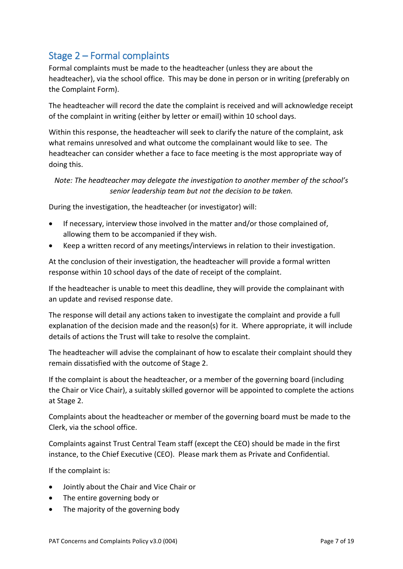### <span id="page-6-0"></span>Stage 2 – Formal complaints

Formal complaints must be made to the headteacher (unless they are about the headteacher), via the school office. This may be done in person or in writing (preferably on the Complaint Form).

The headteacher will record the date the complaint is received and will acknowledge receipt of the complaint in writing (either by letter or email) within 10 school days.

Within this response, the headteacher will seek to clarify the nature of the complaint, ask what remains unresolved and what outcome the complainant would like to see. The headteacher can consider whether a face to face meeting is the most appropriate way of doing this.

*Note: The headteacher may delegate the investigation to another member of the school's senior leadership team but not the decision to be taken.*

During the investigation, the headteacher (or investigator) will:

- If necessary, interview those involved in the matter and/or those complained of, allowing them to be accompanied if they wish.
- Keep a written record of any meetings/interviews in relation to their investigation.

At the conclusion of their investigation, the headteacher will provide a formal written response within 10 school days of the date of receipt of the complaint.

If the headteacher is unable to meet this deadline, they will provide the complainant with an update and revised response date.

The response will detail any actions taken to investigate the complaint and provide a full explanation of the decision made and the reason(s) for it. Where appropriate, it will include details of actions the Trust will take to resolve the complaint.

The headteacher will advise the complainant of how to escalate their complaint should they remain dissatisfied with the outcome of Stage 2.

If the complaint is about the headteacher, or a member of the governing board (including the Chair or Vice Chair), a suitably skilled governor will be appointed to complete the actions at Stage 2.

Complaints about the headteacher or member of the governing board must be made to the Clerk, via the school office.

Complaints against Trust Central Team staff (except the CEO) should be made in the first instance, to the Chief Executive (CEO). Please mark them as Private and Confidential.

If the complaint is:

- Jointly about the Chair and Vice Chair or
- The entire governing body or
- The majority of the governing body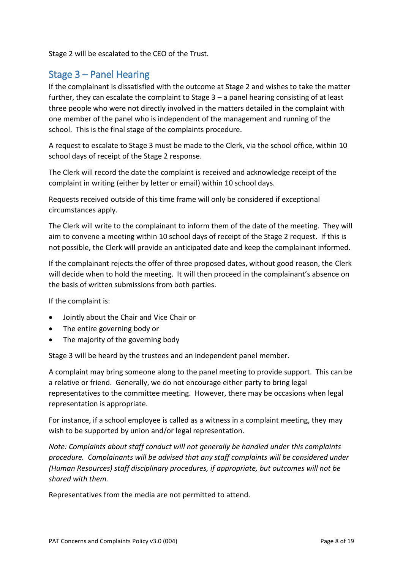Stage 2 will be escalated to the CEO of the Trust.

#### <span id="page-7-0"></span>Stage 3 – Panel Hearing

If the complainant is dissatisfied with the outcome at Stage 2 and wishes to take the matter further, they can escalate the complaint to Stage 3 – a panel hearing consisting of at least three people who were not directly involved in the matters detailed in the complaint with one member of the panel who is independent of the management and running of the school. This is the final stage of the complaints procedure.

A request to escalate to Stage 3 must be made to the Clerk, via the school office, within 10 school days of receipt of the Stage 2 response.

The Clerk will record the date the complaint is received and acknowledge receipt of the complaint in writing (either by letter or email) within 10 school days.

Requests received outside of this time frame will only be considered if exceptional circumstances apply.

The Clerk will write to the complainant to inform them of the date of the meeting. They will aim to convene a meeting within 10 school days of receipt of the Stage 2 request. If this is not possible, the Clerk will provide an anticipated date and keep the complainant informed.

If the complainant rejects the offer of three proposed dates, without good reason, the Clerk will decide when to hold the meeting. It will then proceed in the complainant's absence on the basis of written submissions from both parties.

If the complaint is:

- Jointly about the Chair and Vice Chair or
- The entire governing body or
- The majority of the governing body

Stage 3 will be heard by the trustees and an independent panel member.

A complaint may bring someone along to the panel meeting to provide support. This can be a relative or friend. Generally, we do not encourage either party to bring legal representatives to the committee meeting. However, there may be occasions when legal representation is appropriate.

For instance, if a school employee is called as a witness in a complaint meeting, they may wish to be supported by union and/or legal representation.

*Note: Complaints about staff conduct will not generally be handled under this complaints procedure. Complainants will be advised that any staff complaints will be considered under (Human Resources) staff disciplinary procedures, if appropriate, but outcomes will not be shared with them.*

Representatives from the media are not permitted to attend.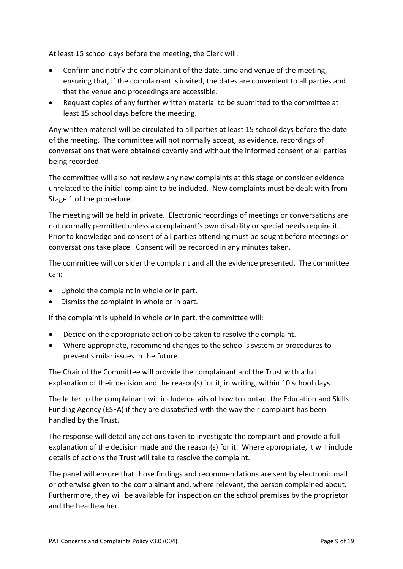At least 15 school days before the meeting, the Clerk will:

- Confirm and notify the complainant of the date, time and venue of the meeting, ensuring that, if the complainant is invited, the dates are convenient to all parties and that the venue and proceedings are accessible.
- Request copies of any further written material to be submitted to the committee at least 15 school days before the meeting.

Any written material will be circulated to all parties at least 15 school days before the date of the meeting. The committee will not normally accept, as evidence, recordings of conversations that were obtained covertly and without the informed consent of all parties being recorded.

The committee will also not review any new complaints at this stage or consider evidence unrelated to the initial complaint to be included. New complaints must be dealt with from Stage 1 of the procedure.

The meeting will be held in private. Electronic recordings of meetings or conversations are not normally permitted unless a complainant's own disability or special needs require it. Prior to knowledge and consent of all parties attending must be sought before meetings or conversations take place. Consent will be recorded in any minutes taken.

The committee will consider the complaint and all the evidence presented. The committee can:

- Uphold the complaint in whole or in part.
- Dismiss the complaint in whole or in part.

If the complaint is upheld in whole or in part, the committee will:

- Decide on the appropriate action to be taken to resolve the complaint.
- Where appropriate, recommend changes to the school's system or procedures to prevent similar issues in the future.

The Chair of the Committee will provide the complainant and the Trust with a full explanation of their decision and the reason(s) for it, in writing, within 10 school days.

The letter to the complainant will include details of how to contact the Education and Skills Funding Agency (ESFA) if they are dissatisfied with the way their complaint has been handled by the Trust.

The response will detail any actions taken to investigate the complaint and provide a full explanation of the decision made and the reason(s) for it. Where appropriate, it will include details of actions the Trust will take to resolve the complaint.

The panel will ensure that those findings and recommendations are sent by electronic mail or otherwise given to the complainant and, where relevant, the person complained about. Furthermore, they will be available for inspection on the school premises by the proprietor and the headteacher.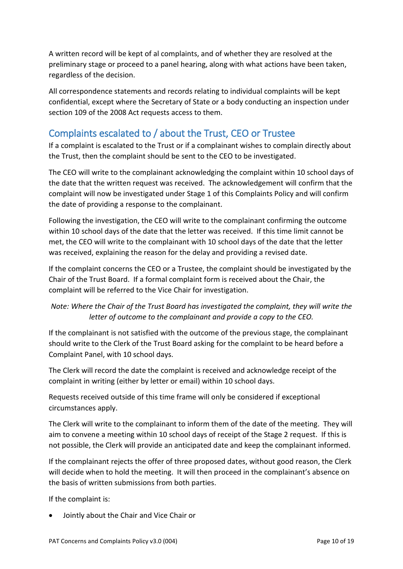A written record will be kept of al complaints, and of whether they are resolved at the preliminary stage or proceed to a panel hearing, along with what actions have been taken, regardless of the decision.

All correspondence statements and records relating to individual complaints will be kept confidential, except where the Secretary of State or a body conducting an inspection under section 109 of the 2008 Act requests access to them.

## <span id="page-9-0"></span>Complaints escalated to / about the Trust, CEO or Trustee

If a complaint is escalated to the Trust or if a complainant wishes to complain directly about the Trust, then the complaint should be sent to the CEO to be investigated.

The CEO will write to the complainant acknowledging the complaint within 10 school days of the date that the written request was received. The acknowledgement will confirm that the complaint will now be investigated under Stage 1 of this Complaints Policy and will confirm the date of providing a response to the complainant.

Following the investigation, the CEO will write to the complainant confirming the outcome within 10 school days of the date that the letter was received. If this time limit cannot be met, the CEO will write to the complainant with 10 school days of the date that the letter was received, explaining the reason for the delay and providing a revised date.

If the complaint concerns the CEO or a Trustee, the complaint should be investigated by the Chair of the Trust Board. If a formal complaint form is received about the Chair, the complaint will be referred to the Vice Chair for investigation.

#### *Note: Where the Chair of the Trust Board has investigated the complaint, they will write the letter of outcome to the complainant and provide a copy to the CEO.*

If the complainant is not satisfied with the outcome of the previous stage, the complainant should write to the Clerk of the Trust Board asking for the complaint to be heard before a Complaint Panel, with 10 school days.

The Clerk will record the date the complaint is received and acknowledge receipt of the complaint in writing (either by letter or email) within 10 school days.

Requests received outside of this time frame will only be considered if exceptional circumstances apply.

The Clerk will write to the complainant to inform them of the date of the meeting. They will aim to convene a meeting within 10 school days of receipt of the Stage 2 request. If this is not possible, the Clerk will provide an anticipated date and keep the complainant informed.

If the complainant rejects the offer of three proposed dates, without good reason, the Clerk will decide when to hold the meeting. It will then proceed in the complainant's absence on the basis of written submissions from both parties.

If the complaint is:

• Jointly about the Chair and Vice Chair or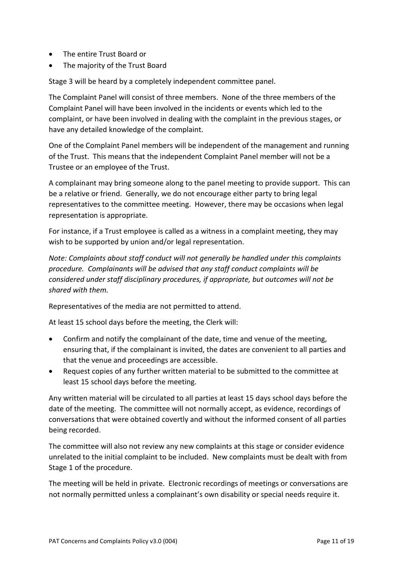- The entire Trust Board or
- The majority of the Trust Board

Stage 3 will be heard by a completely independent committee panel.

The Complaint Panel will consist of three members. None of the three members of the Complaint Panel will have been involved in the incidents or events which led to the complaint, or have been involved in dealing with the complaint in the previous stages, or have any detailed knowledge of the complaint.

One of the Complaint Panel members will be independent of the management and running of the Trust. This means that the independent Complaint Panel member will not be a Trustee or an employee of the Trust.

A complainant may bring someone along to the panel meeting to provide support. This can be a relative or friend. Generally, we do not encourage either party to bring legal representatives to the committee meeting. However, there may be occasions when legal representation is appropriate.

For instance, if a Trust employee is called as a witness in a complaint meeting, they may wish to be supported by union and/or legal representation.

*Note: Complaints about staff conduct will not generally be handled under this complaints procedure. Complainants will be advised that any staff conduct complaints will be considered under staff disciplinary procedures, if appropriate, but outcomes will not be shared with them.*

Representatives of the media are not permitted to attend.

At least 15 school days before the meeting, the Clerk will:

- Confirm and notify the complainant of the date, time and venue of the meeting, ensuring that, if the complainant is invited, the dates are convenient to all parties and that the venue and proceedings are accessible.
- Request copies of any further written material to be submitted to the committee at least 15 school days before the meeting.

Any written material will be circulated to all parties at least 15 days school days before the date of the meeting. The committee will not normally accept, as evidence, recordings of conversations that were obtained covertly and without the informed consent of all parties being recorded.

The committee will also not review any new complaints at this stage or consider evidence unrelated to the initial complaint to be included. New complaints must be dealt with from Stage 1 of the procedure.

The meeting will be held in private. Electronic recordings of meetings or conversations are not normally permitted unless a complainant's own disability or special needs require it.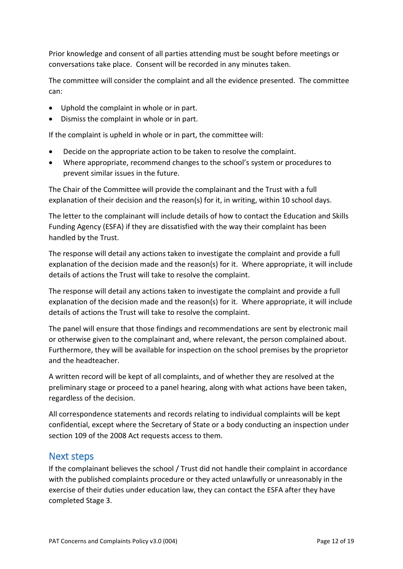Prior knowledge and consent of all parties attending must be sought before meetings or conversations take place. Consent will be recorded in any minutes taken.

The committee will consider the complaint and all the evidence presented. The committee can:

- Uphold the complaint in whole or in part.
- Dismiss the complaint in whole or in part.

If the complaint is upheld in whole or in part, the committee will:

- Decide on the appropriate action to be taken to resolve the complaint.
- Where appropriate, recommend changes to the school's system or procedures to prevent similar issues in the future.

The Chair of the Committee will provide the complainant and the Trust with a full explanation of their decision and the reason(s) for it, in writing, within 10 school days.

The letter to the complainant will include details of how to contact the Education and Skills Funding Agency (ESFA) if they are dissatisfied with the way their complaint has been handled by the Trust.

The response will detail any actions taken to investigate the complaint and provide a full explanation of the decision made and the reason(s) for it. Where appropriate, it will include details of actions the Trust will take to resolve the complaint.

The response will detail any actions taken to investigate the complaint and provide a full explanation of the decision made and the reason(s) for it. Where appropriate, it will include details of actions the Trust will take to resolve the complaint.

The panel will ensure that those findings and recommendations are sent by electronic mail or otherwise given to the complainant and, where relevant, the person complained about. Furthermore, they will be available for inspection on the school premises by the proprietor and the headteacher.

A written record will be kept of all complaints, and of whether they are resolved at the preliminary stage or proceed to a panel hearing, along with what actions have been taken, regardless of the decision.

All correspondence statements and records relating to individual complaints will be kept confidential, except where the Secretary of State or a body conducting an inspection under section 109 of the 2008 Act requests access to them.

#### <span id="page-11-0"></span>Next steps

If the complainant believes the school / Trust did not handle their complaint in accordance with the published complaints procedure or they acted unlawfully or unreasonably in the exercise of their duties under education law, they can contact the ESFA after they have completed Stage 3.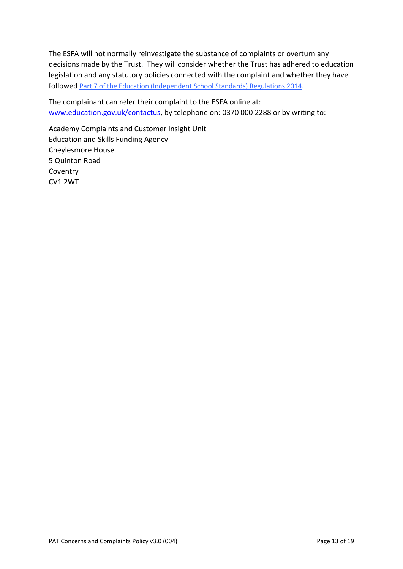The ESFA will not normally reinvestigate the substance of complaints or overturn any decisions made by the Trust. They will consider whether the Trust has adhered to education legislation and any statutory policies connected with the complaint and whether they have followed [Part 7 of the Education \(Independent School Standards\) Regulations 2014](http://www.legislation.gov.uk/uksi/2010/1997/schedule/1/made).

The complainant can refer their complaint to the ESFA online at: [www.education.gov.uk/contactus,](http://www.education.gov.uk/contactus) by telephone on: 0370 000 2288 or by writing to:

Academy Complaints and Customer Insight Unit Education and Skills Funding Agency Cheylesmore House 5 Quinton Road Coventry CV1 2WT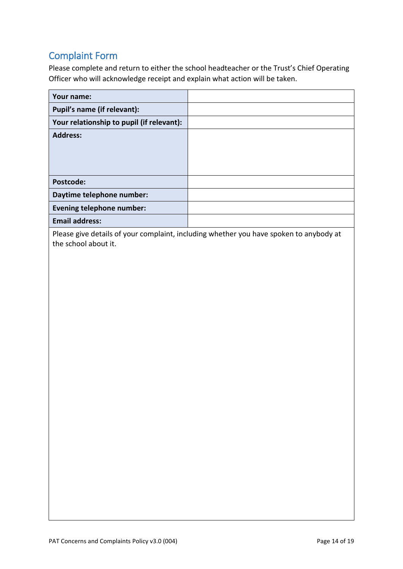# <span id="page-13-0"></span>Complaint Form

Please complete and return to either the school headteacher or the Trust's Chief Operating Officer who will acknowledge receipt and explain what action will be taken.

| Your name:                                |  |
|-------------------------------------------|--|
| Pupil's name (if relevant):               |  |
| Your relationship to pupil (if relevant): |  |
| <b>Address:</b>                           |  |
| Postcode:                                 |  |
| Daytime telephone number:                 |  |
| <b>Evening telephone number:</b>          |  |
| <b>Email address:</b>                     |  |

Please give details of your complaint, including whether you have spoken to anybody at the school about it.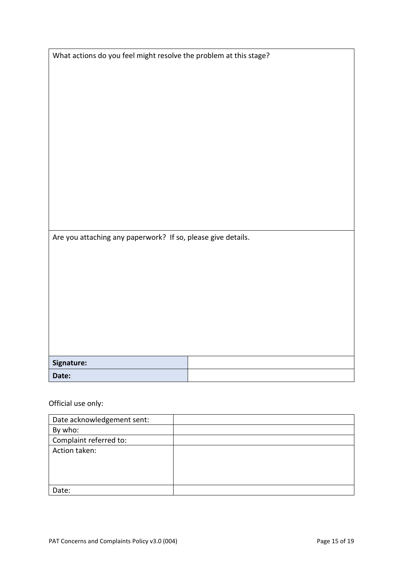| Are you attaching any paperwork? If so, please give details. |  |
|--------------------------------------------------------------|--|
|                                                              |  |
|                                                              |  |
|                                                              |  |
|                                                              |  |
|                                                              |  |
|                                                              |  |
| Signature:                                                   |  |

What actions do you feel might resolve the problem at this stage?

Official use only:

| Date acknowledgement sent: |  |
|----------------------------|--|
| By who:                    |  |
| Complaint referred to:     |  |
| Action taken:              |  |
|                            |  |
|                            |  |
|                            |  |
| Date:                      |  |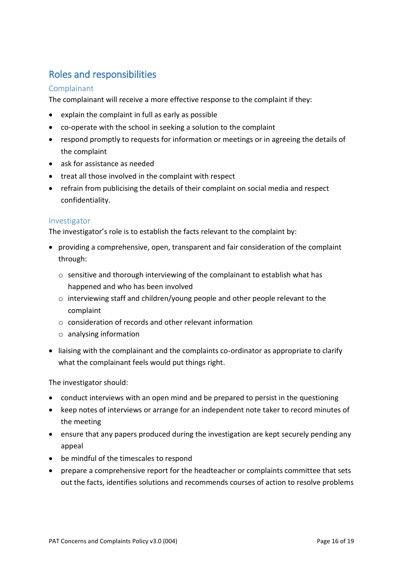# <span id="page-15-0"></span>Roles and responsibilities

#### <span id="page-15-1"></span>Complainant

The complainant will receive a more effective response to the complaint if they:

- explain the complaint in full as early as possible
- co-operate with the school in seeking a solution to the complaint
- respond promptly to requests for information or meetings or in agreeing the details of the complaint
- ask for assistance as needed
- treat all those involved in the complaint with respect
- refrain from publicising the details of their complaint on social media and respect confidentiality.

#### <span id="page-15-2"></span>Investigator

The investigator's role is to establish the facts relevant to the complaint by:

- providing a comprehensive, open, transparent and fair consideration of the complaint through:
	- o sensitive and thorough interviewing of the complainant to establish what has happened and who has been involved
	- o interviewing staff and children/young people and other people relevant to the complaint
	- $\circ$  consideration of records and other relevant information
	- o analysing information
- liaising with the complainant and the complaints co-ordinator as appropriate to clarify what the complainant feels would put things right.

The investigator should:

- conduct interviews with an open mind and be prepared to persist in the questioning
- keep notes of interviews or arrange for an independent note taker to record minutes of the meeting
- ensure that any papers produced during the investigation are kept securely pending any appeal
- be mindful of the timescales to respond
- prepare a comprehensive report for the headteacher or complaints committee that sets out the facts, identifies solutions and recommends courses of action to resolve problems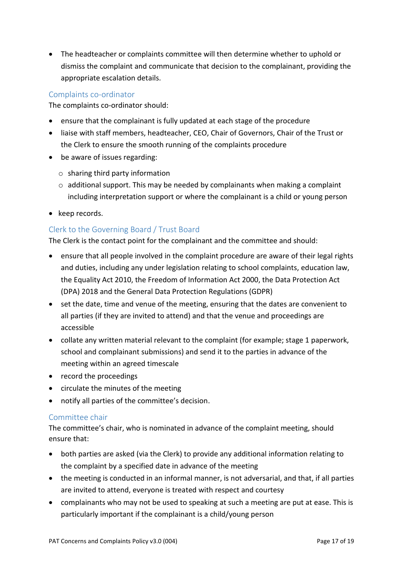• The headteacher or complaints committee will then determine whether to uphold or dismiss the complaint and communicate that decision to the complainant, providing the appropriate escalation details.

#### <span id="page-16-0"></span>Complaints co-ordinator

The complaints co-ordinator should:

- ensure that the complainant is fully updated at each stage of the procedure
- liaise with staff members, headteacher, CEO, Chair of Governors, Chair of the Trust or the Clerk to ensure the smooth running of the complaints procedure
- be aware of issues regarding:
	- o sharing third party information
	- $\circ$  additional support. This may be needed by complainants when making a complaint including interpretation support or where the complainant is a child or young person
- keep records.

#### <span id="page-16-1"></span>Clerk to the Governing Board / Trust Board

The Clerk is the contact point for the complainant and the committee and should:

- ensure that all people involved in the complaint procedure are aware of their legal rights and duties, including any under legislation relating to school complaints, education law, the Equality Act 2010, the Freedom of Information Act 2000, the Data Protection Act (DPA) 2018 and the General Data Protection Regulations (GDPR)
- set the date, time and venue of the meeting, ensuring that the dates are convenient to all parties (if they are invited to attend) and that the venue and proceedings are accessible
- collate any written material relevant to the complaint (for example; stage 1 paperwork, school and complainant submissions) and send it to the parties in advance of the meeting within an agreed timescale
- record the proceedings
- circulate the minutes of the meeting
- notify all parties of the committee's decision.

#### <span id="page-16-2"></span>Committee chair

The committee's chair, who is nominated in advance of the complaint meeting, should ensure that:

- both parties are asked (via the Clerk) to provide any additional information relating to the complaint by a specified date in advance of the meeting
- the meeting is conducted in an informal manner, is not adversarial, and that, if all parties are invited to attend, everyone is treated with respect and courtesy
- complainants who may not be used to speaking at such a meeting are put at ease. This is particularly important if the complainant is a child/young person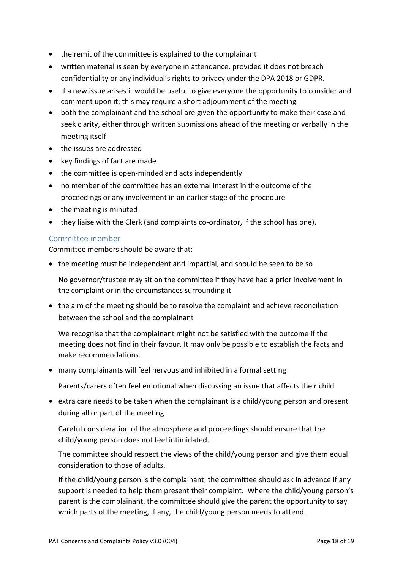- the remit of the committee is explained to the complainant
- written material is seen by everyone in attendance, provided it does not breach confidentiality or any individual's rights to privacy under the DPA 2018 or GDPR.
- If a new issue arises it would be useful to give everyone the opportunity to consider and comment upon it; this may require a short adjournment of the meeting
- both the complainant and the school are given the opportunity to make their case and seek clarity, either through written submissions ahead of the meeting or verbally in the meeting itself
- the issues are addressed
- key findings of fact are made
- the committee is open-minded and acts independently
- no member of the committee has an external interest in the outcome of the proceedings or any involvement in an earlier stage of the procedure
- the meeting is minuted
- they liaise with the Clerk (and complaints co-ordinator, if the school has one).

#### <span id="page-17-0"></span>Committee member

Committee members should be aware that:

• the meeting must be independent and impartial, and should be seen to be so

No governor/trustee may sit on the committee if they have had a prior involvement in the complaint or in the circumstances surrounding it

• the aim of the meeting should be to resolve the complaint and achieve reconciliation between the school and the complainant

We recognise that the complainant might not be satisfied with the outcome if the meeting does not find in their favour. It may only be possible to establish the facts and make recommendations.

• many complainants will feel nervous and inhibited in a formal setting

Parents/carers often feel emotional when discussing an issue that affects their child

• extra care needs to be taken when the complainant is a child/young person and present during all or part of the meeting

Careful consideration of the atmosphere and proceedings should ensure that the child/young person does not feel intimidated.

The committee should respect the views of the child/young person and give them equal consideration to those of adults.

If the child/young person is the complainant, the committee should ask in advance if any support is needed to help them present their complaint. Where the child/young person's parent is the complainant, the committee should give the parent the opportunity to say which parts of the meeting, if any, the child/young person needs to attend.